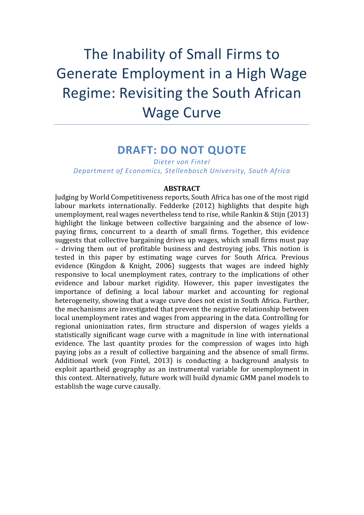# The Inability of Small Firms to Generate Employment in a High Wage Regime: Revisiting the South African Wage Curve

# **DRAFT: DO NOT QUOTE**

*Dieter von Fintel Department of Economics, Stellenbosch University, South Africa*

## **ABSTRACT**

Judging by World Competitiveness reports, South Africa has one of the most rigid labour markets internationally. Fedderke (2012) highlights that despite high unemployment, real wages nevertheless tend to rise, while Rankin & Stijn (2013) highlight the linkage between collective bargaining and the absence of lowpaying firms, concurrent to a dearth of small firms. Together, this evidence suggests that collective bargaining drives up wages, which small firms must pay – driving them out of profitable business and destroying jobs. This notion is tested in this paper by estimating wage curves for South Africa. Previous evidence (Kingdon & Knight, 2006) suggests that wages are indeed highly responsive to local unemployment rates, contrary to the implications of other evidence and labour market rigidity. However, this paper investigates the importance of defining a local labour market and accounting for regional heterogeneity, showing that a wage curve does not exist in South Africa. Further, the mechanisms are investigated that prevent the negative relationship between local unemployment rates and wages from appearing in the data. Controlling for regional unionization rates, firm structure and dispersion of wages yields a statistically significant wage curve with a magnitude in line with international evidence. The last quantity proxies for the compression of wages into high paying jobs as a result of collective bargaining and the absence of small firms. Additional work (von Fintel, 2013) is conducting a background analysis to exploit apartheid geography as an instrumental variable for unemployment in this context. Alternatively, future work will build dynamic GMM panel models to establish the wage curve causally.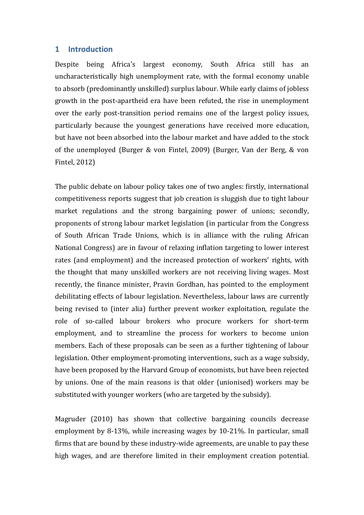# **1 Introduction**

Despite being Africa's largest economy, South Africa still has an uncharacteristically high unemployment rate, with the formal economy unable to absorb (predominantly unskilled) surplus labour. While early claims of jobless growth in the post-apartheid era have been refuted, the rise in unemployment over the early post-transition period remains one of the largest policy issues, particularly because the youngest generations have received more education, but have not been absorbed into the labour market and have added to the stock of the unemployed (Burger & von Fintel, 2009) (Burger, Van der Berg, & von Fintel, 2012)

The public debate on labour policy takes one of two angles: firstly, international competitiveness reports suggest that job creation is sluggish due to tight labour market regulations and the strong bargaining power of unions; secondly, proponents of strong labour market legislation (in particular from the Congress of South African Trade Unions, which is in alliance with the ruling African National Congress) are in favour of relaxing inflation targeting to lower interest rates (and employment) and the increased protection of workers' rights, with the thought that many unskilled workers are not receiving living wages. Most recently, the finance minister, Pravin Gordhan, has pointed to the employment debilitating effects of labour legislation. Nevertheless, labour laws are currently being revised to (inter alia) further prevent worker exploitation, regulate the role of so-called labour brokers who procure workers for short-term employment, and to streamline the process for workers to become union members. Each of these proposals can be seen as a further tightening of labour legislation. Other employment-promoting interventions, such as a wage subsidy, have been proposed by the Harvard Group of economists, but have been rejected by unions. One of the main reasons is that older (unionised) workers may be substituted with younger workers (who are targeted by the subsidy).

Magruder (2010) has shown that collective bargaining councils decrease employment by 8-13%, while increasing wages by 10-21%. In particular, small firms that are bound by these industry-wide agreements, are unable to pay these high wages, and are therefore limited in their employment creation potential.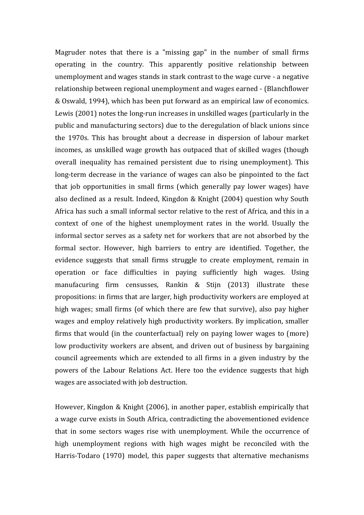Magruder notes that there is a "missing gap" in the number of small firms operating in the country. This apparently positive relationship between unemployment and wages stands in stark contrast to the wage curve - a negative relationship between regional unemployment and wages earned - (Blanchflower & Oswald, 1994), which has been put forward as an empirical law of economics. Lewis (2001) notes the long-run increases in unskilled wages (particularly in the public and manufacturing sectors) due to the deregulation of black unions since the 1970s. This has brought about a decrease in dispersion of labour market incomes, as unskilled wage growth has outpaced that of skilled wages (though overall inequality has remained persistent due to rising unemployment). This long-term decrease in the variance of wages can also be pinpointed to the fact that job opportunities in small firms (which generally pay lower wages) have also declined as a result. Indeed, Kingdon & Knight (2004) question why South Africa has such a small informal sector relative to the rest of Africa, and this in a context of one of the highest unemployment rates in the world. Usually the informal sector serves as a safety net for workers that are not absorbed by the formal sector. However, high barriers to entry are identified. Together, the evidence suggests that small firms struggle to create employment, remain in operation or face difficulties in paying sufficiently high wages. Using manufacuring firm censusses, Rankin & Stijn (2013) illustrate these propositions: in firms that are larger, high productivity workers are employed at high wages; small firms (of which there are few that survive), also pay higher wages and employ relatively high productivity workers. By implication, smaller firms that would (in the counterfactual) rely on paying lower wages to (more) low productivity workers are absent, and driven out of business by bargaining council agreements which are extended to all firms in a given industry by the powers of the Labour Relations Act. Here too the evidence suggests that high wages are associated with job destruction.

However, Kingdon & Knight (2006), in another paper, establish empirically that a wage curve exists in South Africa, contradicting the abovementioned evidence that in some sectors wages rise with unemployment. While the occurrence of high unemployment regions with high wages might be reconciled with the Harris-Todaro (1970) model, this paper suggests that alternative mechanisms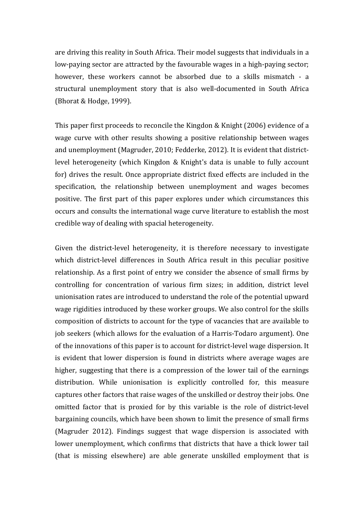are driving this reality in South Africa. Their model suggests that individuals in a low-paying sector are attracted by the favourable wages in a high-paying sector; however, these workers cannot be absorbed due to a skills mismatch - a structural unemployment story that is also well-documented in South Africa (Bhorat & Hodge, 1999).

This paper first proceeds to reconcile the Kingdon & Knight (2006) evidence of a wage curve with other results showing a positive relationship between wages and unemployment (Magruder, 2010; Fedderke, 2012). It is evident that districtlevel heterogeneity (which Kingdon & Knight's data is unable to fully account for) drives the result. Once appropriate district fixed effects are included in the specification, the relationship between unemployment and wages becomes positive. The first part of this paper explores under which circumstances this occurs and consults the international wage curve literature to establish the most credible way of dealing with spacial heterogeneity.

Given the district-level heterogeneity, it is therefore necessary to investigate which district-level differences in South Africa result in this peculiar positive relationship. As a first point of entry we consider the absence of small firms by controlling for concentration of various firm sizes; in addition, district level unionisation rates are introduced to understand the role of the potential upward wage rigidities introduced by these worker groups. We also control for the skills composition of districts to account for the type of vacancies that are available to job seekers (which allows for the evaluation of a Harris-Todaro argument). One of the innovations of this paper is to account for district-level wage dispersion. It is evident that lower dispersion is found in districts where average wages are higher, suggesting that there is a compression of the lower tail of the earnings distribution. While unionisation is explicitly controlled for, this measure captures other factors that raise wages of the unskilled or destroy their jobs. One omitted factor that is proxied for by this variable is the role of district-level bargaining councils, which have been shown to limit the presence of small firms (Magruder 2012). Findings suggest that wage dispersion is associated with lower unemployment, which confirms that districts that have a thick lower tail (that is missing elsewhere) are able generate unskilled employment that is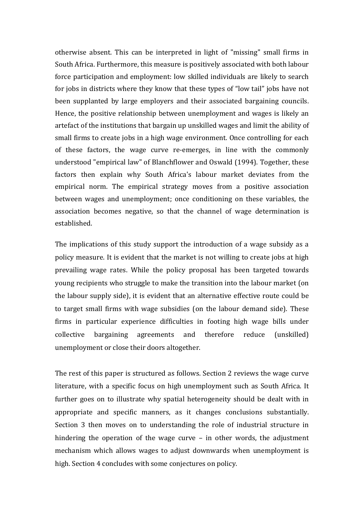otherwise absent. This can be interpreted in light of "missing" small firms in South Africa. Furthermore, this measure is positively associated with both labour force participation and employment: low skilled individuals are likely to search for jobs in districts where they know that these types of "low tail" jobs have not been supplanted by large employers and their associated bargaining councils. Hence, the positive relationship between unemployment and wages is likely an artefact of the institutions that bargain up unskilled wages and limit the ability of small firms to create jobs in a high wage environment. Once controlling for each of these factors, the wage curve re-emerges, in line with the commonly understood "empirical law" of Blanchflower and Oswald (1994). Together, these factors then explain why South Africa's labour market deviates from the empirical norm. The empirical strategy moves from a positive association between wages and unemployment; once conditioning on these variables, the association becomes negative, so that the channel of wage determination is established.

The implications of this study support the introduction of a wage subsidy as a policy measure. It is evident that the market is not willing to create jobs at high prevailing wage rates. While the policy proposal has been targeted towards young recipients who struggle to make the transition into the labour market (on the labour supply side), it is evident that an alternative effective route could be to target small firms with wage subsidies (on the labour demand side). These firms in particular experience difficulties in footing high wage bills under collective bargaining agreements and therefore reduce (unskilled) unemployment or close their doors altogether.

The rest of this paper is structured as follows. Section 2 reviews the wage curve literature, with a specific focus on high unemployment such as South Africa. It further goes on to illustrate why spatial heterogeneity should be dealt with in appropriate and specific manners, as it changes conclusions substantially. Section 3 then moves on to understanding the role of industrial structure in hindering the operation of the wage curve – in other words, the adjustment mechanism which allows wages to adjust downwards when unemployment is high. Section 4 concludes with some conjectures on policy.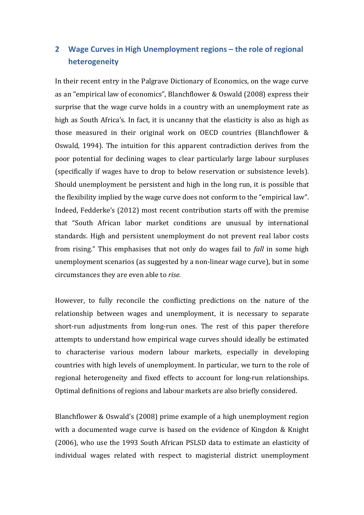# **2 Wage Curves in High Unemployment regions – the role of regional heterogeneity**

In their recent entry in the Palgrave Dictionary of Economics, on the wage curve as an "empirical law of economics", Blanchflower & Oswald (2008) express their surprise that the wage curve holds in a country with an unemployment rate as high as South Africa's. In fact, it is uncanny that the elasticity is also as high as those measured in their original work on OECD countries (Blanchflower & Oswald, 1994). The intuition for this apparent contradiction derives from the poor potential for declining wages to clear particularly large labour surpluses (specifically if wages have to drop to below reservation or subsistence levels). Should unemployment be persistent and high in the long run, it is possible that the flexibility implied by the wage curve does not conform to the "empirical law". Indeed, Fedderke's (2012) most recent contribution starts off with the premise that "South African labor market conditions are unusual by international standards. High and persistent unemployment do not prevent real labor costs from rising." This emphasises that not only do wages fail to *fall* in some high unemployment scenarios (as suggested by a non-linear wage curve), but in some circumstances they are even able to *rise.*

However, to fully reconcile the conflicting predictions on the nature of the relationship between wages and unemployment, it is necessary to separate short-run adjustments from long-run ones. The rest of this paper therefore attempts to understand how empirical wage curves should ideally be estimated to characterise various modern labour markets, especially in developing countries with high levels of unemployment. In particular, we turn to the role of regional heterogeneity and fixed effects to account for long-run relationships. Optimal definitions of regions and labour markets are also briefly considered.

Blanchflower & Oswald's (2008) prime example of a high unemployment region with a documented wage curve is based on the evidence of Kingdon & Knight (2006), who use the 1993 South African PSLSD data to estimate an elasticity of individual wages related with respect to magisterial district unemployment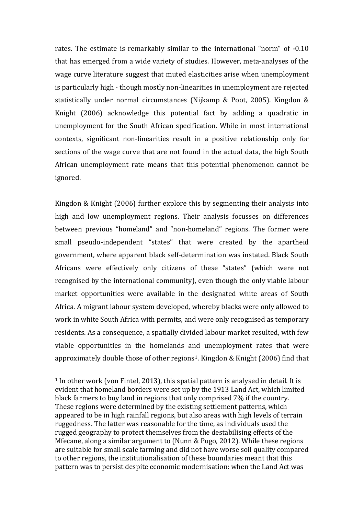rates. The estimate is remarkably similar to the international "norm" of -0.10 that has emerged from a wide variety of studies. However, meta-analyses of the wage curve literature suggest that muted elasticities arise when unemployment is particularly high - though mostly non-linearities in unemployment are rejected statistically under normal circumstances (Nijkamp & Poot, 2005). Kingdon & Knight (2006) acknowledge this potential fact by adding a quadratic in unemployment for the South African specification. While in most international contexts, significant non-linearities result in a positive relationship only for sections of the wage curve that are not found in the actual data, the high South African unemployment rate means that this potential phenomenon cannot be ignored.

Kingdon & Knight (2006) further explore this by segmenting their analysis into high and low unemployment regions. Their analysis focusses on differences between previous "homeland" and "non-homeland" regions. The former were small pseudo-independent "states" that were created by the apartheid government, where apparent black self-determination was instated. Black South Africans were effectively only citizens of these "states" (which were not recognised by the international community), even though the only viable labour market opportunities were available in the designated white areas of South Africa. A migrant labour system developed, whereby blacks were only allowed to work in white South Africa with permits, and were only recognised as temporary residents. As a consequence, a spatially divided labour market resulted, with few viable opportunities in the homelands and unemployment rates that were approximately double those of other regions<sup>[1](#page-6-0)</sup>. Kingdon & Knight (2006) find that

<span id="page-6-0"></span><sup>&</sup>lt;sup>1</sup> In other work (von Fintel, 2013), this spatial pattern is analysed in detail. It is evident that homeland borders were set up by the 1913 Land Act, which limited black farmers to buy land in regions that only comprised 7% if the country. These regions were determined by the existing settlement patterns, which appeared to be in high rainfall regions, but also areas with high levels of terrain ruggedness. The latter was reasonable for the time, as individuals used the rugged geography to protect themselves from the destabilising effects of the Mfecane, along a similar argument to (Nunn & Pugo, 2012). While these regions are suitable for small scale farming and did not have worse soil quality compared to other regions, the institutionalisation of these boundaries meant that this pattern was to persist despite economic modernisation: when the Land Act was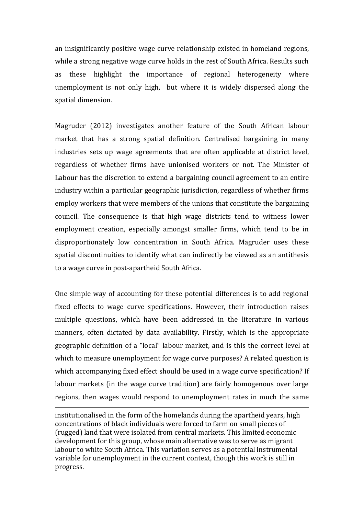an insignificantly positive wage curve relationship existed in homeland regions, while a strong negative wage curve holds in the rest of South Africa. Results such as these highlight the importance of regional heterogeneity where unemployment is not only high, but where it is widely dispersed along the spatial dimension.

Magruder (2012) investigates another feature of the South African labour market that has a strong spatial definition. Centralised bargaining in many industries sets up wage agreements that are often applicable at district level, regardless of whether firms have unionised workers or not. The Minister of Labour has the discretion to extend a bargaining council agreement to an entire industry within a particular geographic jurisdiction, regardless of whether firms employ workers that were members of the unions that constitute the bargaining council. The consequence is that high wage districts tend to witness lower employment creation, especially amongst smaller firms, which tend to be in disproportionately low concentration in South Africa. Magruder uses these spatial discontinuities to identify what can indirectly be viewed as an antithesis to a wage curve in post-apartheid South Africa.

One simple way of accounting for these potential differences is to add regional fixed effects to wage curve specifications. However, their introduction raises multiple questions, which have been addressed in the literature in various manners, often dictated by data availability. Firstly, which is the appropriate geographic definition of a "local" labour market, and is this the correct level at which to measure unemployment for wage curve purposes? A related question is which accompanying fixed effect should be used in a wage curve specification? If labour markets (in the wage curve tradition) are fairly homogenous over large regions, then wages would respond to unemployment rates in much the same

i<br>I institutionalised in the form of the homelands during the apartheid years, high concentrations of black individuals were forced to farm on small pieces of (rugged) land that were isolated from central markets. This limited economic development for this group, whose main alternative was to serve as migrant labour to white South Africa. This variation serves as a potential instrumental variable for unemployment in the current context, though this work is still in progress.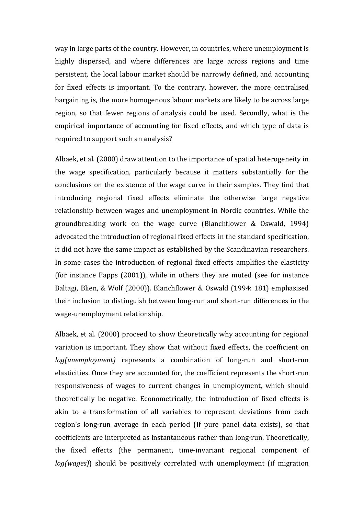way in large parts of the country. However, in countries, where unemployment is highly dispersed, and where differences are large across regions and time persistent, the local labour market should be narrowly defined, and accounting for fixed effects is important. To the contrary, however, the more centralised bargaining is, the more homogenous labour markets are likely to be across large region, so that fewer regions of analysis could be used. Secondly, what is the empirical importance of accounting for fixed effects, and which type of data is required to support such an analysis?

Albaek, et al. (2000) draw attention to the importance of spatial heterogeneity in the wage specification, particularly because it matters substantially for the conclusions on the existence of the wage curve in their samples. They find that introducing regional fixed effects eliminate the otherwise large negative relationship between wages and unemployment in Nordic countries. While the groundbreaking work on the wage curve (Blanchflower & Oswald, 1994) advocated the introduction of regional fixed effects in the standard specification, it did not have the same impact as established by the Scandinavian researchers. In some cases the introduction of regional fixed effects amplifies the elasticity (for instance Papps (2001)), while in others they are muted (see for instance Baltagi, Blien, & Wolf (2000)). Blanchflower & Oswald (1994: 181) emphasised their inclusion to distinguish between long-run and short-run differences in the wage-unemployment relationship.

Albaek, et al. (2000) proceed to show theoretically why accounting for regional variation is important. They show that without fixed effects, the coefficient on *log(unemployment)* represents a combination of long-run and short-run elasticities. Once they are accounted for, the coefficient represents the short-run responsiveness of wages to current changes in unemployment, which should theoretically be negative. Econometrically, the introduction of fixed effects is akin to a transformation of all variables to represent deviations from each region's long-run average in each period (if pure panel data exists), so that coefficients are interpreted as instantaneous rather than long-run. Theoretically, the fixed effects (the permanent, time-invariant regional component of *log(wages)*) should be positively correlated with unemployment (if migration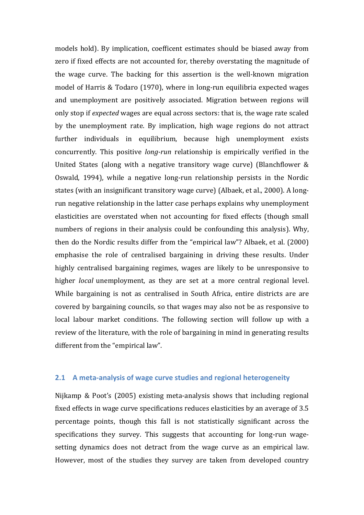models hold). By implication, coefficent estimates should be biased away from zero if fixed effects are not accounted for, thereby overstating the magnitude of the wage curve. The backing for this assertion is the well-known migration model of Harris & Todaro (1970), where in long-run equilibria expected wages and unemployment are positively associated. Migration between regions will only stop if *expected* wages are equal across sectors: that is, the wage rate scaled by the unemployment rate. By implication, high wage regions do not attract further individuals in equilibrium, because high unemployment exists concurrently. This positive *long-run* relationship is empirically verified in the United States (along with a negative transitory wage curve) (Blanchflower & Oswald, 1994), while a negative long-run relationship persists in the Nordic states (with an insignificant transitory wage curve) (Albaek, et al., 2000). A longrun negative relationship in the latter case perhaps explains why unemployment elasticities are overstated when not accounting for fixed effects (though small numbers of regions in their analysis could be confounding this analysis). Why, then do the Nordic results differ from the "empirical law"? Albaek, et al. (2000) emphasise the role of centralised bargaining in driving these results. Under highly centralised bargaining regimes, wages are likely to be unresponsive to higher *local* unemployment, as they are set at a more central regional level. While bargaining is not as centralised in South Africa, entire districts are are covered by bargaining councils, so that wages may also not be as responsive to local labour market conditions. The following section will follow up with a review of the literature, with the role of bargaining in mind in generating results different from the "empirical law".

# **2.1 A meta-analysis of wage curve studies and regional heterogeneity**

Nijkamp & Poot's (2005) existing meta-analysis shows that including regional fixed effects in wage curve specifications reduces elasticities by an average of 3.5 percentage points, though this fall is not statistically significant across the specifications they survey. This suggests that accounting for long-run wagesetting dynamics does not detract from the wage curve as an empirical law. However, most of the studies they survey are taken from developed country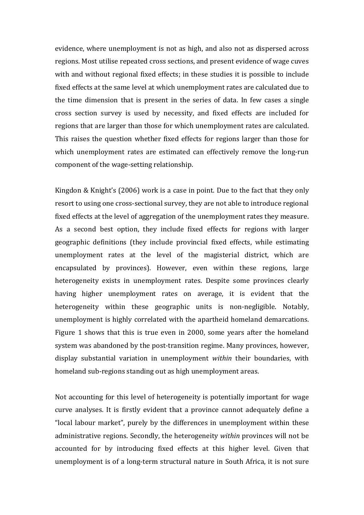evidence, where unemployment is not as high, and also not as dispersed across regions. Most utilise repeated cross sections, and present evidence of wage cuves with and without regional fixed effects; in these studies it is possible to include fixed effects at the same level at which unemployment rates are calculated due to the time dimension that is present in the series of data. In few cases a single cross section survey is used by necessity, and fixed effects are included for regions that are larger than those for which unemployment rates are calculated. This raises the question whether fixed effects for regions larger than those for which unemployment rates are estimated can effectively remove the long-run component of the wage-setting relationship.

Kingdon & Knight's (2006) work is a case in point. Due to the fact that they only resort to using one cross-sectional survey, they are not able to introduce regional fixed effects at the level of aggregation of the unemployment rates they measure. As a second best option, they include fixed effects for regions with larger geographic definitions (they include provincial fixed effects, while estimating unemployment rates at the level of the magisterial district, which are encapsulated by provinces). However, even within these regions, large heterogeneity exists in unemployment rates. Despite some provinces clearly having higher unemployment rates on average, it is evident that the heterogeneity within these geographic units is non-negligible. Notably, unemployment is highly correlated with the apartheid homeland demarcations. Figure 1 shows that this is true even in 2000, some years after the homeland system was abandoned by the post-transition regime. Many provinces, however, display substantial variation in unemployment *within* their boundaries, with homeland sub-regions standing out as high unemployment areas.

Not accounting for this level of heterogeneity is potentially important for wage curve analyses. It is firstly evident that a province cannot adequately define a "local labour market", purely by the differences in unemployment within these administrative regions. Secondly, the heterogeneity *within* provinces will not be accounted for by introducing fixed effects at this higher level. Given that unemployment is of a long-term structural nature in South Africa, it is not sure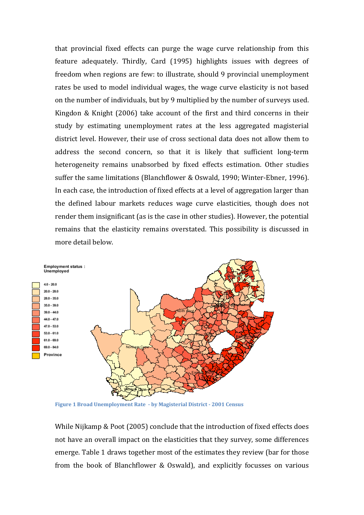that provincial fixed effects can purge the wage curve relationship from this feature adequately. Thirdly, Card (1995) highlights issues with degrees of freedom when regions are few: to illustrate, should 9 provincial unemployment rates be used to model individual wages, the wage curve elasticity is not based on the number of individuals, but by 9 multiplied by the number of surveys used. Kingdon & Knight (2006) take account of the first and third concerns in their study by estimating unemployment rates at the less aggregated magisterial district level. However, their use of cross sectional data does not allow them to address the second concern, so that it is likely that sufficient long-term heterogeneity remains unabsorbed by fixed effects estimation. Other studies suffer the same limitations (Blanchflower & Oswald, 1990; Winter-Ebner, 1996). In each case, the introduction of fixed effects at a level of aggregation larger than the defined labour markets reduces wage curve elasticities, though does not render them insignificant (as is the case in other studies). However, the potential remains that the elasticity remains overstated. This possibility is discussed in more detail below.



**Figure 1 Broad Unemployment Rate - by Magisterial District - 2001 Census**

While Nijkamp & Poot (2005) conclude that the introduction of fixed effects does not have an overall impact on the elasticities that they survey, some differences emerge. Table 1 draws together most of the estimates they review (bar for those from the book of Blanchflower & Oswald), and explicitly focusses on various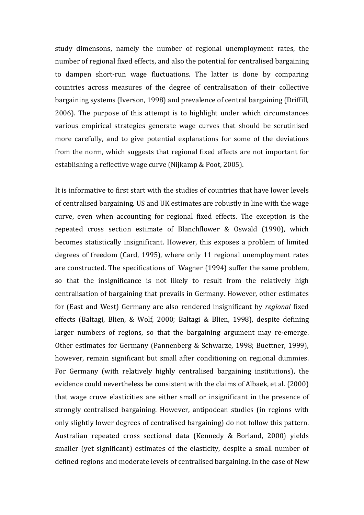study dimensons, namely the number of regional unemployment rates, the number of regional fixed effects, and also the potential for centralised bargaining to dampen short-run wage fluctuations. The latter is done by comparing countries across measures of the degree of centralisation of their collective bargaining systems (Iverson, 1998) and prevalence of central bargaining (Driffill, 2006). The purpose of this attempt is to highlight under which circumstances various empirical strategies generate wage curves that should be scrutinised more carefully, and to give potential explanations for some of the deviations from the norm, which suggests that regional fixed effects are not important for establishing a reflective wage curve (Nijkamp & Poot, 2005).

It is informative to first start with the studies of countries that have lower levels of centralised bargaining. US and UK estimates are robustly in line with the wage curve, even when accounting for regional fixed effects. The exception is the repeated cross section estimate of Blanchflower & Oswald (1990), which becomes statistically insignificant. However, this exposes a problem of limited degrees of freedom (Card, 1995), where only 11 regional unemployment rates are constructed. The specifications of Wagner (1994) suffer the same problem, so that the insignificance is not likely to result from the relatively high centralisation of bargaining that prevails in Germany. However, other estimates for (East and West) Germany are also rendered insignificant by *regional* fixed effects (Baltagi, Blien, & Wolf, 2000; Baltagi & Blien, 1998), despite defining larger numbers of regions, so that the bargaining argument may re-emerge. Other estimates for Germany (Pannenberg & Schwarze, 1998; Buettner, 1999), however, remain significant but small after conditioning on regional dummies. For Germany (with relatively highly centralised bargaining institutions), the evidence could nevertheless be consistent with the claims of Albaek, et al. (2000) that wage cruve elasticities are either small or insignificant in the presence of strongly centralised bargaining. However, antipodean studies (in regions with only slightly lower degrees of centralised bargaining) do not follow this pattern. Australian repeated cross sectional data (Kennedy & Borland, 2000) yields smaller (yet significant) estimates of the elasticity, despite a small number of defined regions and moderate levels of centralised bargaining. In the case of New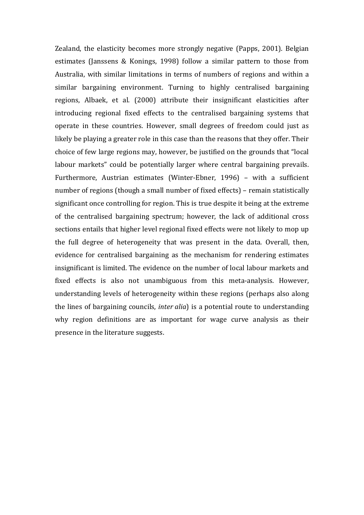Zealand, the elasticity becomes more strongly negative (Papps, 2001). Belgian estimates (Janssens & Konings, 1998) follow a similar pattern to those from Australia, with similar limitations in terms of numbers of regions and within a similar bargaining environment. Turning to highly centralised bargaining regions, Albaek, et al. (2000) attribute their insignificant elasticities after introducing regional fixed effects to the centralised bargaining systems that operate in these countries. However, small degrees of freedom could just as likely be playing a greater role in this case than the reasons that they offer. Their choice of few large regions may, however, be justified on the grounds that "local labour markets" could be potentially larger where central bargaining prevails. Furthermore, Austrian estimates (Winter-Ebner, 1996) – with a sufficient number of regions (though a small number of fixed effects) – remain statistically significant once controlling for region. This is true despite it being at the extreme of the centralised bargaining spectrum; however, the lack of additional cross sections entails that higher level regional fixed effects were not likely to mop up the full degree of heterogeneity that was present in the data. Overall, then, evidence for centralised bargaining as the mechanism for rendering estimates insignificant is limited. The evidence on the number of local labour markets and fixed effects is also not unambiguous from this meta-analysis. However, understanding levels of heterogeneity within these regions (perhaps also along the lines of bargaining councils, *inter alia*) is a potential route to understanding why region definitions are as important for wage curve analysis as their presence in the literature suggests.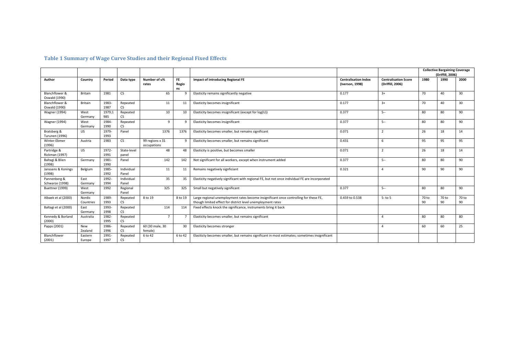### **Table 1 Summary of Wage Curve Studies and their Regional Fixed Effects**

|                                      |                     |               |                       |                                |                          |                                                                                                                                                      |                                                |                                                 |             | <b>Collective Bargaining Coverage</b><br>(Driffill, 2006) |             |
|--------------------------------------|---------------------|---------------|-----------------------|--------------------------------|--------------------------|------------------------------------------------------------------------------------------------------------------------------------------------------|------------------------------------------------|-------------------------------------------------|-------------|-----------------------------------------------------------|-------------|
| Author                               | Country             | Period        | Data type             | Number of u%<br>rates          | <b>FE</b><br>Regio<br>ns | <b>Impact of introducing Regional FE</b>                                                                                                             | <b>Centralisation Index</b><br>(Iverson, 1998) | <b>Centralisation Score</b><br>(Driffill, 2006) | 1980        | 1990                                                      | 2000        |
| Blanchflower &<br>Oswald (1990)      | <b>Britain</b>      | 1981          | CS                    | 65                             | 9                        | Elasticity remains significantly negative                                                                                                            | 0.177                                          | $3+$                                            | 70          | 40                                                        | 30          |
| Blanchflower &<br>Oswald (1990)      | Britain             | 1983-<br>1987 | Repeated<br>CS        | 11                             | 11                       | Elasticity becomes insignificant                                                                                                                     | 0.177                                          | $3+$                                            | 70          | 40                                                        | 30          |
| <b>Wagner</b> (1994)                 | West<br>Germany     | 1979;1<br>985 | Repeated<br>CS.       | 10                             | 10                       | Elasticity becomes insignificant (except for log(U))                                                                                                 | 0.377                                          | $5 -$                                           | 80          | 80                                                        | 90          |
| <b>Wagner (1994)</b>                 | West<br>Germany     | 1984-<br>1990 | Repeated<br>CS        | 9                              | 9                        | Elasticity becomes insignificant                                                                                                                     | 0.377                                          | $5 -$                                           | 80          | 80                                                        | 90          |
| Bratsberg &<br><b>Turunen</b> (1996) | <b>US</b>           | 1979-<br>1993 | Panel                 | 1376                           | 1376                     | Elasticity becomes smaller, but remains significant                                                                                                  | 0.071                                          | $\overline{2}$                                  | 26          | 18                                                        | 14          |
| Winter-Ebmer<br>(1996)               | Austria             | 1983          | CS.                   | 99 regions x 31<br>occupations | 9                        | Elasticity becomes smaller, but remains significant                                                                                                  | 0.431                                          | 6                                               | 95          | 95                                                        | 95          |
| Partridge &<br><b>Rickman (1997)</b> | <b>US</b>           | 1972-<br>1991 | State-level<br>panel  | 48                             | 48                       | Elasticity is positive, but becomes smaller                                                                                                          | 0.071                                          | $\overline{2}$                                  | 26          | 18                                                        | 14          |
| Baltagi & Blien<br>(1998)            | Germany             | 1981-<br>1990 | Panel                 | 142                            | 142                      | Not significant for all workers, except when instrument added                                                                                        | 0.377                                          | $5 -$                                           | 80          | 80                                                        | 90          |
| Janssens & Konings<br>(1998)         | Belgium             | 1985-<br>1992 | Individual<br>Panel   | 11                             | 11                       | Remains negatively signficiant                                                                                                                       | 0.321                                          | $\Delta$                                        | 90          | 90                                                        | 90          |
| Pannenberg &<br>Schwarze (1998)      | East<br>Germany     | 1992-<br>1994 | Individual<br>Panel   | 35                             | 35                       | Elasticity negatively significant with regional FE, but not once individual FE are incorporated                                                      |                                                |                                                 |             |                                                           |             |
| <b>Buettner</b> (1999)               | West<br>Germany     | 1992          | Regional<br>Panel     | 325                            | 325                      | Small but negatively significant                                                                                                                     | 0.377                                          | $5 -$                                           | 80          | 80                                                        | 90          |
| Albaek et al (2000)                  | Nordic<br>Countries | 1989-<br>1993 | Repeated<br>CS.       | 8 to 19                        | 8 to 19                  | Large regional unemployment rates become insignificant once controlling for these FE,<br>though limited effect for district level unemployment rates | 0.459 to 0.538                                 | $5 - t05$                                       | 70 to<br>90 | 70 to<br>90                                               | 70 to<br>90 |
| Baltagi et al (2000)                 | East<br>Germany     | 1993-<br>1998 | Repeated<br><b>CS</b> | 114                            | 114                      | Fixed effects knock the significance, instruments bring it back                                                                                      |                                                |                                                 |             |                                                           |             |
| Kennedy & Borland<br>(2000)          | Australia           | 1982-<br>1995 | Repeated<br>CS        | $\overline{7}$                 |                          | Elasticity becomes smaller, but remains significant                                                                                                  |                                                | $\boldsymbol{\Lambda}$                          | 80          | 80                                                        | 80          |
| Papps (2001)                         | New<br>Zealand      | 1986-<br>1996 | Repeated<br>CS        | 60 (30 male, 30<br>female)     | 30                       | Elasticity becomes stronger                                                                                                                          |                                                | $\Delta$                                        | 60          | 60                                                        | 25          |
| Blanchflower<br>(2001)               | Eastern<br>Europe   | 1991<br>1997  | Repeated<br>CS        | 6 to 42                        | 6 to 42                  | Elasiticty becomes smaller, but remains significant in most estimates; sometimes insignificant                                                       |                                                |                                                 |             |                                                           |             |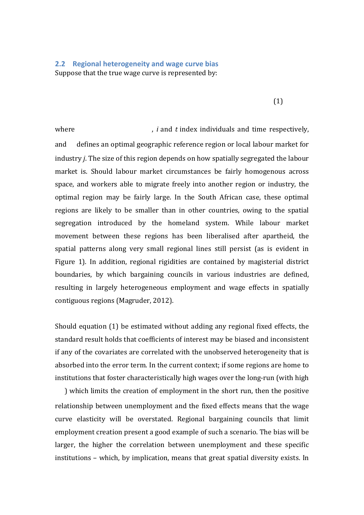# **2.2 Regional heterogeneity and wage curve bias** Suppose that the true wage curve is represented by:

(1)

where  $\mu$ , *i* and *t* index individuals and time respectively, and defines an optimal geographic reference region or local labour market for industry *j*. The size of this region depends on how spatially segregated the labour market is. Should labour market circumstances be fairly homogenous across space, and workers able to migrate freely into another region or industry, the optimal region may be fairly large. In the South African case, these optimal regions are likely to be smaller than in other countries, owing to the spatial segregation introduced by the homeland system. While labour market movement between these regions has been liberalised after apartheid, the spatial patterns along very small regional lines still persist (as is evident in Figure 1). In addition, regional rigidities are contained by magisterial district boundaries, by which bargaining councils in various industries are defined, resulting in largely heterogeneous employment and wage effects in spatially contiguous regions (Magruder, 2012).

Should equation (1) be estimated without adding any regional fixed effects, the standard result holds that coefficients of interest may be biased and inconsistent if any of the covariates are correlated with the unobserved heterogeneity that is absorbed into the error term. In the current context; if some regions are home to institutions that foster characteristically high wages over the long-run (with high

) which limits the creation of employment in the short run, then the positive relationship between unemployment and the fixed effects means that the wage curve elasticity will be overstated. Regional bargaining councils that limit employment creation present a good example of such a scenario. The bias will be larger, the higher the correlation between unemployment and these specific institutions – which, by implication, means that great spatial diversity exists. In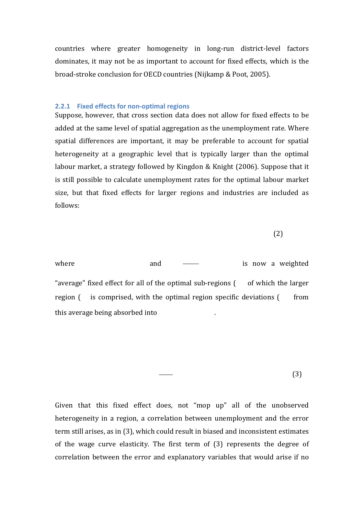countries where greater homogeneity in long-run district-level factors dominates, it may not be as important to account for fixed effects, which is the broad-stroke conclusion for OECD countries (Nijkamp & Poot, 2005).

#### **2.2.1 Fixed effects for non-optimal regions**

Suppose, however, that cross section data does not allow for fixed effects to be added at the same level of spatial aggregation as the unemployment rate. Where spatial differences are important, it may be preferable to account for spatial heterogeneity at a geographic level that is typically larger than the optimal labour market, a strategy followed by Kingdon & Knight (2006). Suppose that it is still possible to calculate unemployment rates for the optimal labour market size, but that fixed effects for larger regions and industries are included as follows:

(2)

where and  $\frac{1}{x}$  and  $\frac{1}{x}$  is now a weighted "average" fixed effect for all of the optimal sub-regions  $($  of which the larger region ( is comprised, with the optimal region specific deviations ( from this average being absorbed into .

(3)

Given that this fixed effect does, not "mop up" all of the unobserved heterogeneity in a region, a correlation between unemployment and the error term still arises, as in (3), which could result in biased and inconsistent estimates of the wage curve elasticity. The first term of (3) represents the degree of correlation between the error and explanatory variables that would arise if no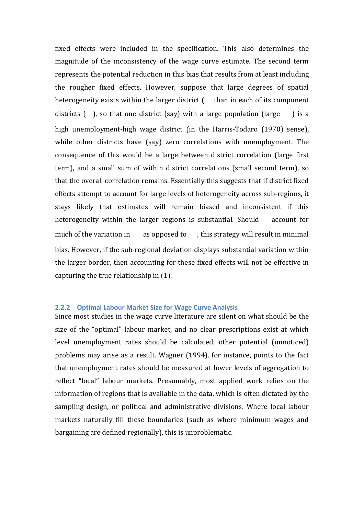fixed effects were included in the specification. This also determines the magnitude of the inconsistency of the wage curve estimate. The second term represents the potential reduction in this bias that results from at least including the rougher fixed effects. However, suppose that large degrees of spatial heterogeneity exists within the larger district ( than in each of its component districts ( ), so that one district (say) with a large population (large ) is a high unemployment-high wage district (in the Harris-Todaro (1970) sense), while other districts have (say) zero correlations with unemployment. The consequence of this would be a large between district correlation (large first term), and a small sum of within district correlations (small second term), so that the overall correlation remains. Essentially this suggests that if district fixed effects attempt to account for large levels of heterogeneity across sub-regions, it stays likely that estimates will remain biased and inconsistent if this heterogeneity within the larger regions is substantial. Should account for much of the variation in as opposed to , this strategy will result in minimal bias. However, if the sub-regional deviation displays substantial variation within the larger border, then accounting for these fixed effects will not be effective in capturing the true relationship in (1).

#### **2.2.2 Optimal Labour Market Size for Wage Curve Analysis**

Since most studies in the wage curve literature are silent on what should be the size of the "optimal" labour market, and no clear prescriptions exist at which level unemployment rates should be calculated, other potential (unnoticed) problems may arise as a result. Wagner (1994), for instance, points to the fact that unemployment rates should be measured at lower levels of aggregation to reflect "local" labour markets. Presumably, most applied work relies on the information of regions that is available in the data, which is often dictated by the sampling design, or political and administrative divisions. Where local labour markets naturally fill these boundaries (such as where minimum wages and bargaining are defined regionally), this is unproblematic.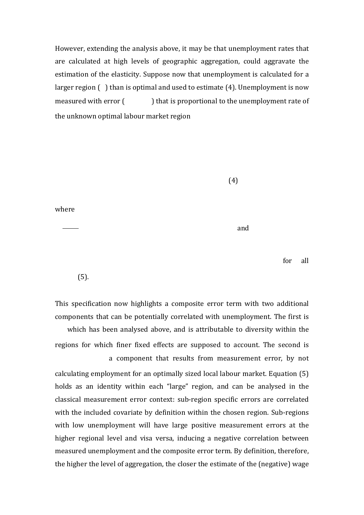However, extending the analysis above, it may be that unemployment rates that are calculated at high levels of geographic aggregation, could aggravate the estimation of the elasticity. Suppose now that unemployment is calculated for a larger region ( ) than is optimal and used to estimate (4). Unemployment is now measured with error ( ) that is proportional to the unemployment rate of the unknown optimal labour market region

(4)

where

and

for all

(5).

This specification now highlights a composite error term with two additional components that can be potentially correlated with unemployment. The first is which has been analysed above, and is attributable to diversity within the regions for which finer fixed effects are supposed to account. The second is a component that results from measurement error, by not calculating employment for an optimally sized local labour market. Equation (5) holds as an identity within each "large" region, and can be analysed in the classical measurement error context: sub-region specific errors are correlated with the included covariate by definition within the chosen region. Sub-regions with low unemployment will have large positive measurement errors at the higher regional level and visa versa, inducing a negative correlation between measured unemployment and the composite error term. By definition, therefore, the higher the level of aggregation, the closer the estimate of the (negative) wage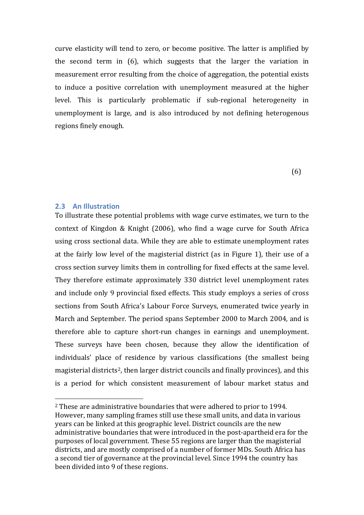curve elasticity will tend to zero, or become positive. The latter is amplified by the second term in (6), which suggests that the larger the variation in measurement error resulting from the choice of aggregation, the potential exists to induce a positive correlation with unemployment measured at the higher level. This is particularly problematic if sub-regional heterogeneity in unemployment is large, and is also introduced by not defining heterogenous regions finely enough.

(6)

#### **2.3 An Illustration**

To illustrate these potential problems with wage curve estimates, we turn to the context of Kingdon & Knight (2006), who find a wage curve for South Africa using cross sectional data. While they are able to estimate unemployment rates at the fairly low level of the magisterial district (as in Figure 1), their use of a cross section survey limits them in controlling for fixed effects at the same level. They therefore estimate approximately 330 district level unemployment rates and include only 9 provincial fixed effects. This study employs a series of cross sections from South Africa's Labour Force Surveys, enumerated twice yearly in March and September. The period spans September 2000 to March 2004, and is therefore able to capture short-run changes in earnings and unemployment. These surveys have been chosen, because they allow the identification of individuals' place of residence by various classifications (the smallest being magisterial districts<sup>[2](#page-19-0)</sup>, then larger district councils and finally provinces), and this is a period for which consistent measurement of labour market status and

<span id="page-19-0"></span> <sup>2</sup> These are administrative boundaries that were adhered to prior to 1994. However, many sampling frames still use these small units, and data in various years can be linked at this geographic level. District councils are the new administrative boundaries that were introduced in the post-apartheid era for the purposes of local government. These 55 regions are larger than the magisterial districts, and are mostly comprised of a number of former MDs. South Africa has a second tier of governance at the provincial level. Since 1994 the country has been divided into 9 of these regions.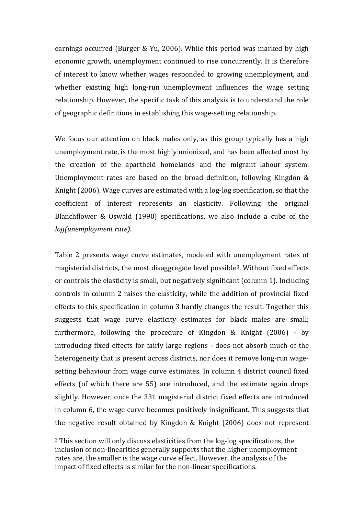earnings occurred (Burger & Yu, 2006). While this period was marked by high economic growth, unemployment continued to rise concurrently. It is therefore of interest to know whether wages responded to growing unemployment, and whether existing high long-run unemployment influences the wage setting relationship. However, the specific task of this analysis is to understand the role of geographic definitions in establishing this wage-setting relationship.

We focus our attention on black males only, as this group typically has a high unemployment rate, is the most highly unionized, and has been affected most by the creation of the apartheid homelands and the migrant labour system. Unemployment rates are based on the broad definition, following Kingdon & Knight (2006). Wage curves are estimated with a log-log specification, so that the coefficient of interest represents an elasticity. Following the original Blanchflower & Oswald (1990) specifications, we also include a cube of the *log(unemployment rate).*

Table 2 presents wage curve estimates, modeled with [un](#page-20-0)employment rates of magisterial districts, the most disaggregate level possible3 . Without fixed effects or controls the elasticity is small, but negatively significant (column 1). Including controls in column 2 raises the elasticity, while the addition of provincial fixed effects to this specification in column 3 hardly changes the result. Together this suggests that wage curve elasticity estimates for black males are small; furthermore, following the procedure of Kingdon & Knight (2006) - by introducing fixed effects for fairly large regions - does not absorb much of the heterogeneity that is present across districts, nor does it remove long-run wagesetting behaviour from wage curve estimates. In column 4 district council fixed effects (of which there are 55) are introduced, and the estimate again drops slightly. However, once the 331 magisterial district fixed effects are introduced in column 6, the wage curve becomes positively insignificant. This suggests that the negative result obtained by Kingdon & Knight (2006) does not represent

<span id="page-20-0"></span> <sup>3</sup> This section will only discuss elasticities from the log-log specifications, the inclusion of non-linearities generally supports that the higher unemployment rates are, the smaller is the wage curve effect. However, the analysis of the impact of fixed effects is similar for the non-linear specifications.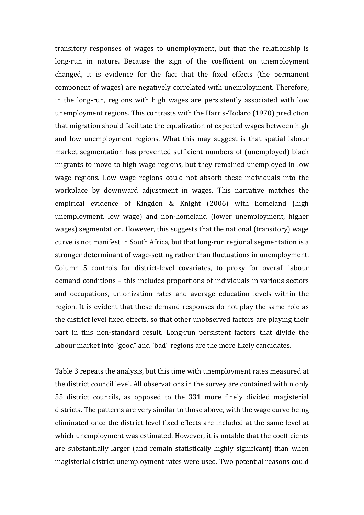transitory responses of wages to unemployment, but that the relationship is long-run in nature. Because the sign of the coefficient on unemployment changed, it is evidence for the fact that the fixed effects (the permanent component of wages) are negatively correlated with unemployment. Therefore, in the long-run, regions with high wages are persistently associated with low unemployment regions. This contrasts with the Harris-Todaro (1970) prediction that migration should facilitate the equalization of expected wages between high and low unemployment regions. What this may suggest is that spatial labour market segmentation has prevented sufficient numbers of (unemployed) black migrants to move to high wage regions, but they remained unemployed in low wage regions. Low wage regions could not absorb these individuals into the workplace by downward adjustment in wages. This narrative matches the empirical evidence of Kingdon & Knight (2006) with homeland (high unemployment, low wage) and non-homeland (lower unemployment, higher wages) segmentation. However, this suggests that the national (transitory) wage curve is not manifest in South Africa, but that long-run regional segmentation is a stronger determinant of wage-setting rather than fluctuations in unemployment. Column 5 controls for district-level covariates, to proxy for overall labour demand conditions – this includes proportions of individuals in various sectors and occupations, unionization rates and average education levels within the region. It is evident that these demand responses do not play the same role as the district level fixed effects, so that other unobserved factors are playing their part in this non-standard result. Long-run persistent factors that divide the labour market into "good" and "bad" regions are the more likely candidates.

Table 3 repeats the analysis, but this time with unemployment rates measured at the district council level. All observations in the survey are contained within only 55 district councils, as opposed to the 331 more finely divided magisterial districts. The patterns are very similar to those above, with the wage curve being eliminated once the district level fixed effects are included at the same level at which unemployment was estimated. However, it is notable that the coefficients are substantially larger (and remain statistically highly significant) than when magisterial district unemployment rates were used. Two potential reasons could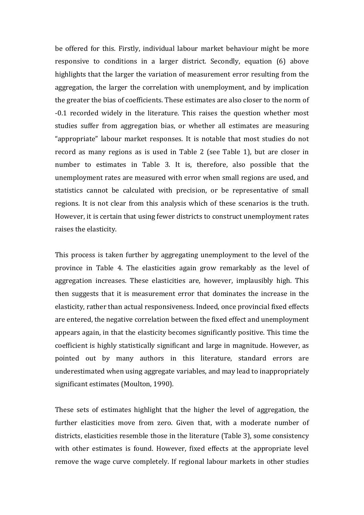be offered for this. Firstly, individual labour market behaviour might be more responsive to conditions in a larger district. Secondly, equation (6) above highlights that the larger the variation of measurement error resulting from the aggregation, the larger the correlation with unemployment, and by implication the greater the bias of coefficients. These estimates are also closer to the norm of -0.1 recorded widely in the literature. This raises the question whether most studies suffer from aggregation bias, or whether all estimates are measuring "appropriate" labour market responses. It is notable that most studies do not record as many regions as is used in Table 2 (see Table 1), but are closer in number to estimates in Table 3. It is, therefore, also possible that the unemployment rates are measured with error when small regions are used, and statistics cannot be calculated with precision, or be representative of small regions. It is not clear from this analysis which of these scenarios is the truth. However, it is certain that using fewer districts to construct unemployment rates raises the elasticity.

This process is taken further by aggregating unemployment to the level of the province in Table 4. The elasticities again grow remarkably as the level of aggregation increases. These elasticities are, however, implausibly high. This then suggests that it is measurement error that dominates the increase in the elasticity, rather than actual responsiveness. Indeed, once provincial fixed effects are entered, the negative correlation between the fixed effect and unemployment appears again, in that the elasticity becomes significantly positive. This time the coefficient is highly statistically significant and large in magnitude. However, as pointed out by many authors in this literature, standard errors are underestimated when using aggregate variables, and may lead to inappropriately significant estimates (Moulton, 1990).

These sets of estimates highlight that the higher the level of aggregation, the further elasticities move from zero. Given that, with a moderate number of districts, elasticities resemble those in the literature (Table 3), some consistency with other estimates is found. However, fixed effects at the appropriate level remove the wage curve completely. If regional labour markets in other studies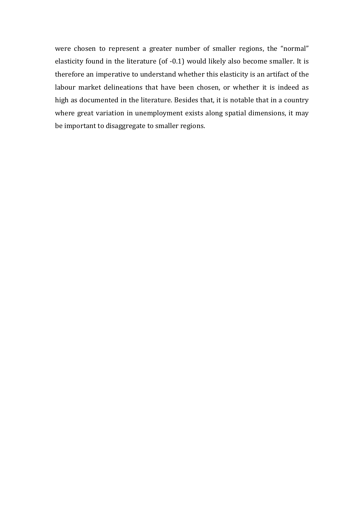were chosen to represent a greater number of smaller regions, the "normal" elasticity found in the literature (of -0.1) would likely also become smaller. It is therefore an imperative to understand whether this elasticity is an artifact of the labour market delineations that have been chosen, or whether it is indeed as high as documented in the literature. Besides that, it is notable that in a country where great variation in unemployment exists along spatial dimensions, it may be important to disaggregate to smaller regions.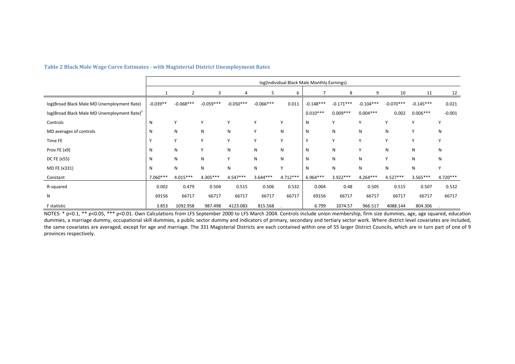|                                                         |            |             |             |             |             |            | log(Individual Black Male Monthly Earnings) |             |             |             |             |              |
|---------------------------------------------------------|------------|-------------|-------------|-------------|-------------|------------|---------------------------------------------|-------------|-------------|-------------|-------------|--------------|
|                                                         |            | 2           | 3           |             | 5           | 6          |                                             | 8           | 9           | 10          | 11          | 12           |
| log(Broad Black Male MD Unemployment Rate)              | $-0.039**$ | $-0.068***$ | $-0.059***$ | $-0.050***$ | $-0.066***$ | 0.011      | $-0.148***$                                 | $-0.171***$ | $-0.104***$ | $-0.070***$ | $-0.145***$ | 0.021        |
| log(Broad Black Male MD Unemployment Rate) <sup>3</sup> |            |             |             |             |             |            | $0.010***$                                  | $0.009***$  | $0.004***$  | 0.002       | $0.006***$  | $-0.001$     |
| Controls                                                | N          | Y           | Y           | Υ           | Υ           | Υ          | N                                           | Υ           | Y           | Υ           | v           | $\mathbf{v}$ |
| MD averages of controls                                 | N          | N           | N           | N           | Υ           | N          | N                                           | N           | N           | N           | Y           | N            |
| Time FE                                                 |            | Y           | Y           | Y           | Y           | Y          | $\mathsf{v}$                                | Υ           | Y           | Y           | Y           |              |
| Prov FE (x9)                                            | N          | N           | Y           | N           | N           | N          | N                                           | N           | Y           | ${\sf N}$   | N           | N            |
| DC FE (x55)                                             | N          | N           | N           | Y           | N           | N          | N                                           | N           | N           | Y           | N           | N            |
| MD FE (x331)                                            | N          | Ν           | N           | N           | N           | Υ          | N                                           | N           | N           | N           | N           | $\checkmark$ |
| Constant                                                | 7.060***   | $4.015***$  | $4.305***$  | $4.547***$  | $3.644***$  | $4.712***$ | $6.964***$                                  | $3.922***$  | $4.264***$  | $4.527***$  | $3.565***$  | $4.720***$   |
| R-squared                                               | 0.002      | 0.479       | 0.504       | 0.515       | 0.506       | 0.532      | 0.004                                       | 0.48        | 0.505       | 0.515       | 0.507       | 0.532        |
| N                                                       | 69156      | 66717       | 66717       | 66717       | 66717       | 66717      | 69156                                       | 66717       | 66717       | 66717       | 66717       | 66717        |
| F statistic                                             | 3.853      | 1092.958    | 987.498     | 4123.083    | 815.568     |            | 6.799                                       | 1074.57     | 966.517     | 4088.144    | 804.306     |              |

#### **Table 2 Black Male Wage Curve Estimates - with Magisterial District Unemployment Rates**

NOTES: \* p<0.1, \*\* p<0.05, \*\*\* p<0.01. Own Calculations from LFS September 2000 to LFS March 2004. Controls include union membership, firm size dummies, age, age squared, education dummies, a marriage dummy, occupational skill dummies, a public sector dummy and indicators of primary, secondary and tertiary sector work. Where district level covariates are included, the same covariates are averaged, except for age and marriage. The 331 Magisterial Districts are each contained within one of 55 larger District Councils, which are in turn part of one of 9 provinces respectively.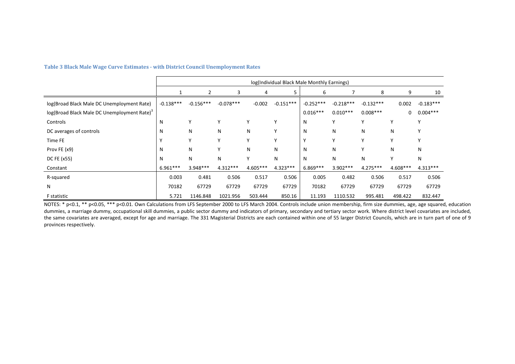|                                                         |             | log(Individual Black Male Monthly Earnings) |             |            |             |             |             |             |              |             |
|---------------------------------------------------------|-------------|---------------------------------------------|-------------|------------|-------------|-------------|-------------|-------------|--------------|-------------|
|                                                         |             | $\overline{2}$                              | 3           | 4          | 5           | 6           |             | 8           | 9            | 10          |
| log(Broad Black Male DC Unemployment Rate)              | $-0.138***$ | $-0.156***$                                 | $-0.078***$ | $-0.002$   | $-0.151***$ | $-0.252***$ | $-0.218***$ | $-0.132***$ | 0.002        | $-0.183***$ |
| log(Broad Black Male DC Unemployment Rate) <sup>3</sup> |             |                                             |             |            |             | $0.016***$  | $0.010***$  | $0.008***$  | $\mathbf{0}$ | $0.004***$  |
| Controls                                                | Ν           |                                             | Υ           | Y          | Y           | N           |             | Υ           | Y            | v           |
| DC averages of controls                                 | N           | N                                           | N           | N          | Υ           | N           | N           | N           | N            | Y           |
| Time FE                                                 |             | ν                                           | Υ           | Y          | Υ           | Υ           |             | Υ           | Υ            | Υ           |
| Prov FE (x9)                                            | N           | N                                           | Υ           | N          | N           | <b>N</b>    | N           | Υ           | N            | N           |
| DC FE (x55)                                             | N           | N                                           | N           | Y          | N           | N           | N           | N           | Υ            | N           |
| Constant                                                | $6.961***$  | $3.948***$                                  | $4.312***$  | $4.605***$ | $4.323***$  | $6.869***$  | $3.902***$  | $4.275***$  | 4.608***     | $4.313***$  |
| R-squared                                               | 0.003       | 0.481                                       | 0.506       | 0.517      | 0.506       | 0.005       | 0.482       | 0.506       | 0.517        | 0.506       |
| N                                                       | 70182       | 67729                                       | 67729       | 67729      | 67729       | 70182       | 67729       | 67729       | 67729        | 67729       |
| F statistic                                             | 5.721       | 1146.848                                    | 1021.956    | 503.444    | 850.16      | 11.193      | 1110.532    | 995.481     | 498.422      | 832.447     |

#### **Table 3 Black Male Wage Curve Estimates - with District Council Unemployment Rates**

NOTES: \* p<0.1, \*\* p<0.05, \*\*\* p<0.01. Own Calculations from LFS September 2000 to LFS March 2004. Controls include union membership, firm size dummies, age, age squared, education dummies, a marriage dummy, occupational skill dummies, a public sector dummy and indicators of primary, secondary and tertiary sector work. Where district level covariates are included, the same covariates are averaged, except for age and marriage. The 331 Magisterial Districts are each contained within one of 55 larger District Councils, which are in turn part of one of 9 provinces respectively.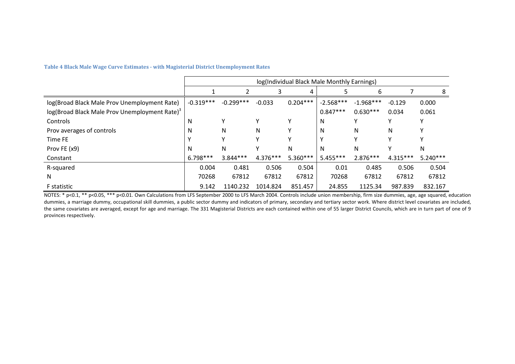|                                                           |             | log(Individual Black Male Monthly Earnings) |            |            |             |             |            |            |  |  |
|-----------------------------------------------------------|-------------|---------------------------------------------|------------|------------|-------------|-------------|------------|------------|--|--|
|                                                           |             |                                             | 3          | 4          |             | 6           |            | 8          |  |  |
| log(Broad Black Male Prov Unemployment Rate)              | $-0.319***$ | $-0.299***$                                 | $-0.033$   | $0.204***$ | $-2.568***$ | $-1.968***$ | $-0.129$   | 0.000      |  |  |
| log(Broad Black Male Prov Unemployment Rate) <sup>3</sup> |             |                                             |            |            | $0.847***$  | $0.630***$  | 0.034      | 0.061      |  |  |
| Controls                                                  | N           |                                             | ٧          | v          | N           | γ           |            | v          |  |  |
| Prov averages of controls                                 | N           | N                                           | N          |            | N           | N           | N          |            |  |  |
| Time FE                                                   |             |                                             | ٧          |            |             | γ           |            |            |  |  |
| Prov FE (x9)                                              | N           | N                                           |            | N          | N           | N           |            | N          |  |  |
| Constant                                                  | $6.798***$  | $3.844***$                                  | $4.376***$ | $5.360***$ | $5.455***$  | $2.876***$  | $4.315***$ | $5.240***$ |  |  |
| R-squared                                                 | 0.004       | 0.481                                       | 0.506      | 0.504      | 0.01        | 0.485       | 0.506      | 0.504      |  |  |
| N                                                         | 70268       | 67812                                       | 67812      | 67812      | 70268       | 67812       | 67812      | 67812      |  |  |
| <b>F</b> statistic                                        | 9.142       | 1140.232                                    | 1014.824   | 851.457    | 24.855      | 1125.34     | 987.839    | 832.167    |  |  |

**Table 4 Black Male Wage Curve Estimates - with Magisterial District Unemployment Rates**

NOTES: \* p<0.1, \*\* p<0.05, \*\*\* p<0.01. Own Calculations from LFS September 2000 to LFS March 2004. Controls include union membership, firm size dummies, age, age squared, education dummies, a marriage dummy, occupational skill dummies, a public sector dummy and indicators of primary, secondary and tertiary sector work. Where district level covariates are included, the same covariates are averaged, except for age and marriage. The 331 Magisterial Districts are each contained within one of 55 larger District Councils, which are in turn part of one of 9 provinces respectively.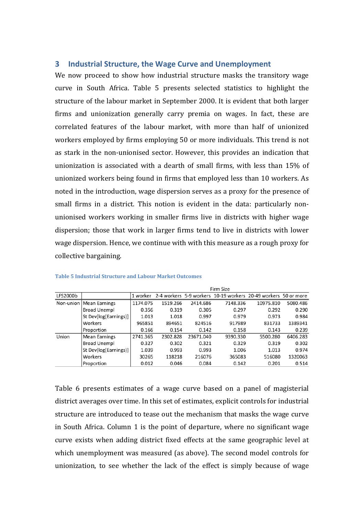# **3 Industrial Structure, the Wage Curve and Unemployment**

We now proceed to show how industrial structure masks the transitory wage curve in South Africa. Table 5 presents selected statistics to highlight the structure of the labour market in September 2000. It is evident that both larger firms and unionization generally carry premia on wages. In fact, these are correlated features of the labour market, with more than half of unionized workers employed by firms employing 50 or more individuals. This trend is not as stark in the non-unionised sector. However, this provides an indication that unionization is associated with a dearth of small firms, with less than 15% of unionized workers being found in firms that employed less than 10 workers. As noted in the introduction, wage dispersion serves as a proxy for the presence of small firms in a district. This notion is evident in the data: particularly nonunionised workers working in smaller firms live in districts with higher wage dispersion; those that work in larger firms tend to live in districts with lower wage dispersion. Hence, we continue with with this measure as a rough proxy for collective bargaining.

|          |                           |          | Firm Size |           |                                                                |           |          |  |  |  |  |  |
|----------|---------------------------|----------|-----------|-----------|----------------------------------------------------------------|-----------|----------|--|--|--|--|--|
| LFS2000b |                           | 1 worker |           |           | 2-4 workers 5-9 workers 10-19 workers 20-49 workers 50 or more |           |          |  |  |  |  |  |
|          | Non-union   Mean Earnings | 1174.075 | 1519.266  | 2414.686  | 7148.336                                                       | 10975.810 | 5080.486 |  |  |  |  |  |
|          | <b>Broad Unempl</b>       | 0.356    | 0.319     | 0.305     | 0.297                                                          | 0.292     | 0.290    |  |  |  |  |  |
|          | St Dev[log(Earnings)]     | 1.013    | 1.018     | 0.997     | 0.979                                                          | 0.973     | 0.984    |  |  |  |  |  |
|          | Workers                   | 965851   | 894651    | 824516    | 917989                                                         | 831733    | 1389341  |  |  |  |  |  |
|          | Proportion                | 0.166    | 0.154     | 0.142     | 0.158                                                          | 0.143     | 0.239    |  |  |  |  |  |
| Union    | <b>Mean Earnings</b>      | 2741.365 | 2302.828  | 23671.040 | 9390.330                                                       | 5500.280  | 6406.283 |  |  |  |  |  |
|          | <b>Broad Unempl</b>       | 0.327    | 0.302     | 0.321     | 0.329                                                          | 0.319     | 0.302    |  |  |  |  |  |
|          | St Dev[log(Earnings)]     | 1.039    | 0.993     | 0.993     | 1.006                                                          | 1.013     | 0.974    |  |  |  |  |  |
|          | Workers                   | 30265    | 118218    | 216076    | 365083                                                         | 516080    | 1320063  |  |  |  |  |  |
|          | Proportion                | 0.012    | 0.046     | 0.084     | 0.142                                                          | 0.201     | 0.514    |  |  |  |  |  |

#### **Table 5 Industrial Structure and Labour Market Outcomes**

Table 6 presents estimates of a wage curve based on a panel of magisterial district averages over time. In this set of estimates, explicit controls for industrial structure are introduced to tease out the mechanism that masks the wage curve in South Africa. Column 1 is the point of departure, where no significant wage curve exists when adding district fixed effects at the same geographic level at which unemployment was measured (as above). The second model controls for unionization, to see whether the lack of the effect is simply because of wage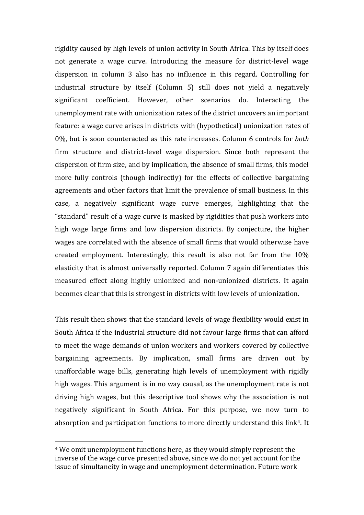rigidity caused by high levels of union activity in South Africa. This by itself does not generate a wage curve. Introducing the measure for district-level wage dispersion in column 3 also has no influence in this regard. Controlling for industrial structure by itself (Column 5) still does not yield a negatively significant coefficient. However, other scenarios do. Interacting the unemployment rate with unionization rates of the district uncovers an important feature: a wage curve arises in districts with (hypothetical) unionization rates of 0%, but is soon counteracted as this rate increases. Column 6 controls for *both*  firm structure and district-level wage dispersion. Since both represent the dispersion of firm size, and by implication, the absence of small firms, this model more fully controls (though indirectly) for the effects of collective bargaining agreements and other factors that limit the prevalence of small business. In this case, a negatively significant wage curve emerges, highlighting that the "standard" result of a wage curve is masked by rigidities that push workers into high wage large firms and low dispersion districts. By conjecture, the higher wages are correlated with the absence of small firms that would otherwise have created employment. Interestingly, this result is also not far from the 10% elasticity that is almost universally reported. Column 7 again differentiates this measured effect along highly unionized and non-unionized districts. It again becomes clear that this is strongest in districts with low levels of unionization.

This result then shows that the standard levels of wage flexibility would exist in South Africa if the industrial structure did not favour large firms that can afford to meet the wage demands of union workers and workers covered by collective bargaining agreements. By implication, small firms are driven out by unaffordable wage bills, generating high levels of unemployment with rigidly high wages. This argument is in no way causal, as the unemployment rate is not driving high wages, but this descriptive tool shows why the association is not negatively significant in South Africa. For this purpose, we now turn to absorption and participation functions to more directly understand this link<sup>[4](#page-28-0)</sup>. It

<span id="page-28-0"></span> <sup>4</sup> We omit unemployment functions here, as they would simply represent the inverse of the wage curve presented above, since we do not yet account for the issue of simultaneity in wage and unemployment determination. Future work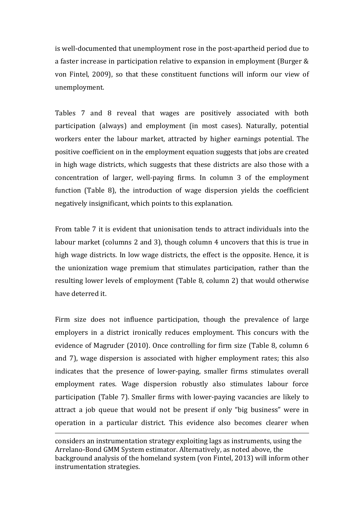is well-documented that unemployment rose in the post-apartheid period due to a faster increase in participation relative to expansion in employment (Burger & von Fintel, 2009), so that these constituent functions will inform our view of unemployment.

Tables 7 and 8 reveal that wages are positively associated with both participation (always) and employment (in most cases). Naturally, potential workers enter the labour market, attracted by higher earnings potential. The positive coefficient on in the employment equation suggests that jobs are created in high wage districts, which suggests that these districts are also those with a concentration of larger, well-paying firms. In column 3 of the employment function (Table 8), the introduction of wage dispersion yields the coefficient negatively insignificant, which points to this explanation.

From table 7 it is evident that unionisation tends to attract individuals into the labour market (columns 2 and 3), though column 4 uncovers that this is true in high wage districts. In low wage districts, the effect is the opposite. Hence, it is the unionization wage premium that stimulates participation, rather than the resulting lower levels of employment (Table 8, column 2) that would otherwise have deterred it.

Firm size does not influence participation, though the prevalence of large employers in a district ironically reduces employment. This concurs with the evidence of Magruder (2010). Once controlling for firm size (Table 8, column 6 and 7), wage dispersion is associated with higher employment rates; this also indicates that the presence of lower-paying, smaller firms stimulates overall employment rates. Wage dispersion robustly also stimulates labour force participation (Table 7). Smaller firms with lower-paying vacancies are likely to attract a job queue that would not be present if only "big business" were in operation in a particular district. This evidence also becomes clearer when

j considers an instrumentation strategy exploiting lags as instruments, using the Arrelano-Bond GMM System estimator. Alternatively, as noted above, the background analysis of the homeland system (von Fintel, 2013) will inform other instrumentation strategies.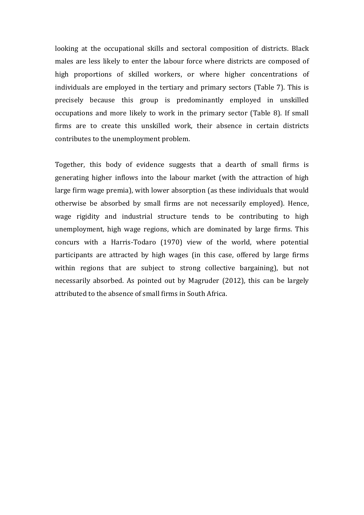looking at the occupational skills and sectoral composition of districts. Black males are less likely to enter the labour force where districts are composed of high proportions of skilled workers, or where higher concentrations of individuals are employed in the tertiary and primary sectors (Table 7). This is precisely because this group is predominantly employed in unskilled occupations and more likely to work in the primary sector (Table 8). If small firms are to create this unskilled work, their absence in certain districts contributes to the unemployment problem.

Together, this body of evidence suggests that a dearth of small firms is generating higher inflows into the labour market (with the attraction of high large firm wage premia), with lower absorption (as these individuals that would otherwise be absorbed by small firms are not necessarily employed). Hence, wage rigidity and industrial structure tends to be contributing to high unemployment, high wage regions, which are dominated by large firms. This concurs with a Harris-Todaro (1970) view of the world, where potential participants are attracted by high wages (in this case, offered by large firms within regions that are subject to strong collective bargaining), but not necessarily absorbed. As pointed out by Magruder (2012), this can be largely attributed to the absence of small firms in South Africa.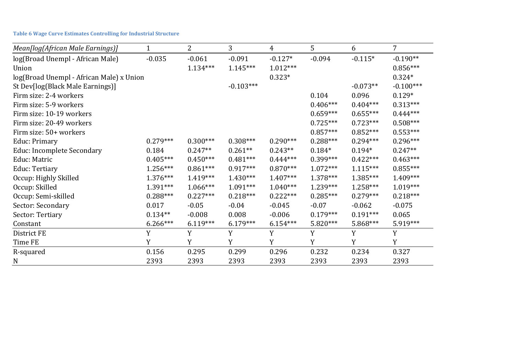| Mean[log(African Male Earnings)]         |            | 2          | 3           | 4          | 5          | 6          | 7           |
|------------------------------------------|------------|------------|-------------|------------|------------|------------|-------------|
| log(Broad Unempl - African Male)         | $-0.035$   | $-0.061$   | $-0.091$    | $-0.127*$  | $-0.094$   | $-0.115*$  | $-0.190**$  |
| Union                                    |            | $1.134***$ | $1.145***$  | $1.012***$ |            |            | $0.856***$  |
| log(Broad Unempl - African Male) x Union |            |            |             | $0.323*$   |            |            | $0.324*$    |
| St Dev[log(Black Male Earnings)]         |            |            | $-0.103***$ |            |            | $-0.073**$ | $-0.100***$ |
| Firm size: 2-4 workers                   |            |            |             |            | 0.104      | 0.096      | $0.129*$    |
| Firm size: 5-9 workers                   |            |            |             |            | $0.406***$ | $0.404***$ | $0.313***$  |
| Firm size: 10-19 workers                 |            |            |             |            | $0.659***$ | $0.655***$ | $0.444***$  |
| Firm size: 20-49 workers                 |            |            |             |            | $0.725***$ | $0.723***$ | $0.508***$  |
| Firm size: 50+ workers                   |            |            |             |            | $0.857***$ | $0.852***$ | $0.553***$  |
| Educ: Primary                            | $0.279***$ | $0.300***$ | $0.308***$  | $0.290***$ | $0.288***$ | $0.294***$ | $0.296***$  |
| Educ: Incomplete Secondary               | 0.184      | $0.247**$  | $0.261**$   | $0.243**$  | $0.184*$   | $0.194*$   | $0.247**$   |
| Educ: Matric                             | $0.405***$ | $0.450***$ | $0.481***$  | $0.444***$ | $0.399***$ | $0.422***$ | $0.463***$  |
| Educ: Tertiary                           | $1.256***$ | $0.861***$ | $0.917***$  | $0.870***$ | $1.072***$ | $1.115***$ | $0.855***$  |
| Occup: Highly Skilled                    | $1.376***$ | $1.419***$ | $1.430***$  | $1.407***$ | $1.378***$ | 1.385***   | $1.409***$  |
| Occup: Skilled                           | 1.391***   | $1.066***$ | $1.091***$  | $1.040***$ | $1.239***$ | $1.258***$ | $1.019***$  |
| Occup: Semi-skilled                      | $0.288***$ | $0.227***$ | $0.218***$  | $0.222***$ | $0.285***$ | $0.279***$ | $0.218***$  |
| Sector: Secondary                        | 0.017      | $-0.05$    | $-0.04$     | $-0.045$   | $-0.07$    | $-0.062$   | $-0.075$    |
| Sector: Tertiary                         | $0.134**$  | $-0.008$   | 0.008       | $-0.006$   | $0.179***$ | $0.191***$ | 0.065       |
| Constant                                 | $6.266***$ | $6.119***$ | $6.179***$  | $6.154***$ | $5.820***$ | 5.868***   | 5.919***    |
| District FE                              | Y          | Y          | Y           | Y          | Y          | Y          | Y           |
| Time FE                                  | Y          | Y          | Y           | Y          | Y          | Y          | Y           |
| R-squared                                | 0.156      | 0.295      | 0.299       | 0.296      | 0.232      | 0.234      | 0.327       |
| N                                        | 2393       | 2393       | 2393        | 2393       | 2393       | 2393       | 2393        |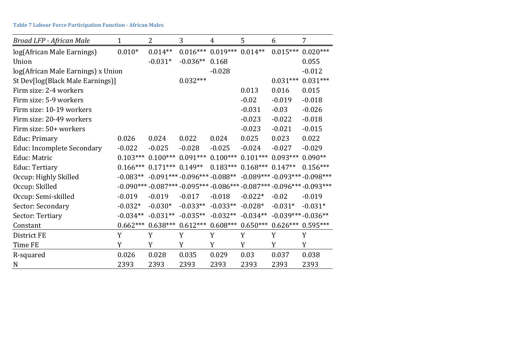| Broad LFP - African Male           | $\mathbf{1}$ | $\overline{2}$ | 3                            | 4          | 5          | 6                   | $\overline{7}$                                                    |
|------------------------------------|--------------|----------------|------------------------------|------------|------------|---------------------|-------------------------------------------------------------------|
| log(African Male Earnings)         | $0.010*$     | $0.014**$      | $0.016***$                   | $0.019***$ | $0.014**$  | $0.015***$          | $0.020***$                                                        |
| Union                              |              | $-0.031*$      | $-0.036**$                   | 0.168      |            |                     | 0.055                                                             |
| log(African Male Earnings) x Union |              |                |                              | $-0.028$   |            |                     | $-0.012$                                                          |
| St Dev[log(Black Male Earnings)]   |              |                | $0.032***$                   |            |            | $0.031***$          | $0.031***$                                                        |
| Firm size: 2-4 workers             |              |                |                              |            | 0.013      | 0.016               | 0.015                                                             |
| Firm size: 5-9 workers             |              |                |                              |            | $-0.02$    | $-0.019$            | $-0.018$                                                          |
| Firm size: 10-19 workers           |              |                |                              |            | $-0.031$   | $-0.03$             | $-0.026$                                                          |
| Firm size: 20-49 workers           |              |                |                              |            | $-0.023$   | $-0.022$            | $-0.018$                                                          |
| Firm size: 50+ workers             |              |                |                              |            | $-0.023$   | $-0.021$            | $-0.015$                                                          |
| <b>Educ: Primary</b>               | 0.026        | 0.024          | 0.022                        | 0.024      | 0.025      | 0.023               | 0.022                                                             |
| Educ: Incomplete Secondary         | $-0.022$     | $-0.025$       | $-0.028$                     | $-0.025$   | $-0.024$   | $-0.027$            | $-0.029$                                                          |
| Educ: Matric                       | $0.103***$   | $0.100***$     | $0.091***$                   | $0.100***$ | $0.101***$ | $0.093***$          | $0.090**$                                                         |
| Educ: Tertiary                     | $0.166***$   | $0.171***$     | $0.149**$                    | $0.183***$ | $0.168***$ | $0.147**$           | $0.156***$                                                        |
| Occup: Highly Skilled              | $-0.083**$   |                | $-0.091***-0.096***-0.088**$ |            |            |                     | $-0.089***-0.093***-0.098***$                                     |
| Occup: Skilled                     |              |                |                              |            |            |                     | $-0.090***-0.087***-0.095***-0.086***-0.087***-0.096***-0.093***$ |
| Occup: Semi-skilled                | $-0.019$     | $-0.019$       | $-0.017$                     | $-0.018$   | $-0.022*$  | $-0.02$             | $-0.019$                                                          |
| Sector: Secondary                  | $-0.032*$    | $-0.030*$      | $-0.033**$                   | $-0.033**$ | $-0.028*$  | $-0.031*$           | $-0.031*$                                                         |
| Sector: Tertiary                   | $-0.034**$   | $-0.031**$     | $-0.035**$                   | $-0.032**$ | $-0.034**$ | $-0.039***-0.036**$ |                                                                   |
| Constant                           | $0.662***$   | $0.638***$     | $0.612***$                   | $0.608***$ | $0.650***$ | $0.626***$          | $0.595***$                                                        |
| District FE                        | Y            | Y              | Y                            | Y          | Y          | Y                   | Y                                                                 |
| Time FE                            | Y            | Y              | Y                            | Y          | Y          | Y                   | Y                                                                 |
| R-squared                          | 0.026        | 0.028          | 0.035                        | 0.029      | 0.03       | 0.037               | 0.038                                                             |
| N                                  | 2393         | 2393           | 2393                         | 2393       | 2393       | 2393                | 2393                                                              |

**Table 7 Labour Force Participation Function - African Males**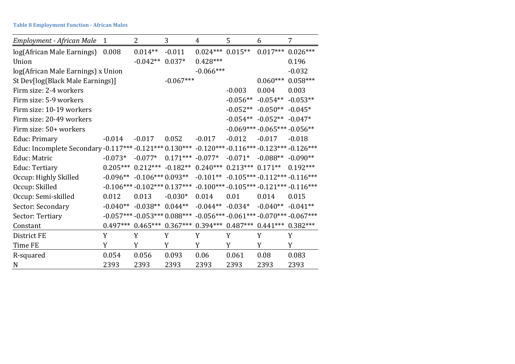**Table 8 Employment Function - African Males**

| Employment - African Male                                                                       | $\mathbf{1}$ | 2                                                                            | 3                  | 4                    | 5          | 6                            | 7                                                                |
|-------------------------------------------------------------------------------------------------|--------------|------------------------------------------------------------------------------|--------------------|----------------------|------------|------------------------------|------------------------------------------------------------------|
| log(African Male Earnings)                                                                      | 0.008        | $0.014**$                                                                    | $-0.011$           | $0.024***$ $0.015**$ |            | $0.017***$                   | $0.026***$                                                       |
| Union                                                                                           |              | $-0.042**$                                                                   | $0.037*$           | $0.428***$           |            |                              | 0.196                                                            |
| log(African Male Earnings) x Union                                                              |              |                                                                              |                    | $-0.066***$          |            |                              | $-0.032$                                                         |
| St Dev[log(Black Male Earnings)]                                                                |              |                                                                              | $-0.067***$        |                      |            | $0.060***$                   | $0.058***$                                                       |
| Firm size: 2-4 workers                                                                          |              |                                                                              |                    |                      | $-0.003$   | 0.004                        | 0.003                                                            |
| Firm size: 5-9 workers                                                                          |              |                                                                              |                    |                      | $-0.056**$ | $-0.054**$                   | $-0.053**$                                                       |
| Firm size: 10-19 workers                                                                        |              |                                                                              |                    |                      |            | $-0.052**$ $-0.050**$        | $-0.045*$                                                        |
| Firm size: 20-49 workers                                                                        |              |                                                                              |                    |                      |            | $-0.054** -0.052** -0.047*$  |                                                                  |
| Firm size: 50+ workers                                                                          |              |                                                                              |                    |                      |            | $-0.069***-0.065***-0.056**$ |                                                                  |
| Educ: Primary                                                                                   | $-0.014$     | $-0.017$                                                                     | 0.052              | $-0.017$             | $-0.012$   | $-0.017$                     | $-0.018$                                                         |
| Educ: Incomplete Secondary -0.117*** -0.121*** 0.130*** -0.120*** -0.116*** -0.123*** -0.126*** |              |                                                                              |                    |                      |            |                              |                                                                  |
| Educ: Matric                                                                                    | $-0.073*$    | $-0.077*$                                                                    | $0.171***$ -0.077* |                      | $-0.071*$  | $-0.088**$                   | $-0.090**$                                                       |
| Educ: Tertiary                                                                                  | $0.205***$   | $0.212***$ -0.182** 0.240*** 0.213*** 0.171**                                |                    |                      |            |                              | $0.192***$                                                       |
| Occup: Highly Skilled                                                                           | $-0.096**$   | $-0.106***0.093**$                                                           |                    |                      |            |                              | $-0.101***$ $-0.105***$ $-0.112***$ $-0.116***$                  |
| Occup: Skilled                                                                                  |              |                                                                              |                    |                      |            |                              | $-0.106***-0.102***0.137***-0.100***-0.105***-0.121***-0.116***$ |
| Occup: Semi-skilled                                                                             | 0.012        | 0.013                                                                        | $-0.030*$          | 0.014                | 0.01       | 0.014                        | 0.015                                                            |
| Sector: Secondary                                                                               | $-0.040**$   | $-0.038**$ 0.044**                                                           |                    | $-0.044**$ $-0.034*$ |            | $-0.040**$                   | $-0.041**$                                                       |
| Sector: Tertiary                                                                                |              |                                                                              |                    |                      |            |                              | $-0.057***-0.053***0.088***-0.056***-0.061***-0.070***-0.067***$ |
| Constant                                                                                        |              | $0.497***$ $0.465***$ $0.367***$ $0.394***$ $0.487***$ $0.441***$ $0.382***$ |                    |                      |            |                              |                                                                  |
| District FE                                                                                     | Y            | Y                                                                            | Y                  | Y                    | Y          | Y                            | Y                                                                |
| Time FE                                                                                         | Y            | Y                                                                            | Y                  | Y                    | Y          | Y                            | Y                                                                |
| R-squared                                                                                       | 0.054        | 0.056                                                                        | 0.093              | 0.06                 | 0.061      | 0.08                         | 0.083                                                            |
| N                                                                                               | 2393         | 2393                                                                         | 2393               | 2393                 | 2393       | 2393                         | 2393                                                             |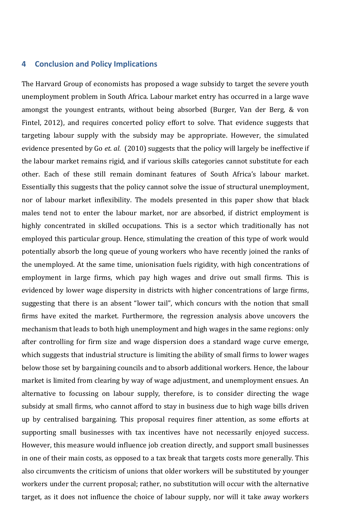# **4 Conclusion and Policy Implications**

The Harvard Group of economists has proposed a wage subsidy to target the severe youth unemployment problem in South Africa. Labour market entry has occurred in a large wave amongst the youngest entrants, without being absorbed (Burger, Van der Berg, & von Fintel, 2012), and requires concerted policy effort to solve. That evidence suggests that targeting labour supply with the subsidy may be appropriate. However, the simulated evidence presented by Go *et. al.* (2010) suggests that the policy will largely be ineffective if the labour market remains rigid, and if various skills categories cannot substitute for each other. Each of these still remain dominant features of South Africa's labour market. Essentially this suggests that the policy cannot solve the issue of structural unemployment, nor of labour market inflexibility. The models presented in this paper show that black males tend not to enter the labour market, nor are absorbed, if district employment is highly concentrated in skilled occupations. This is a sector which traditionally has not employed this particular group. Hence, stimulating the creation of this type of work would potentially absorb the long queue of young workers who have recently joined the ranks of the unemployed. At the same time, unionisation fuels rigidity, with high concentrations of employment in large firms, which pay high wages and drive out small firms. This is evidenced by lower wage dispersity in districts with higher concentrations of large firms, suggesting that there is an absent "lower tail", which concurs with the notion that small firms have exited the market. Furthermore, the regression analysis above uncovers the mechanism that leads to both high unemployment and high wages in the same regions: only after controlling for firm size and wage dispersion does a standard wage curve emerge, which suggests that industrial structure is limiting the ability of small firms to lower wages below those set by bargaining councils and to absorb additional workers. Hence, the labour market is limited from clearing by way of wage adjustment, and unemployment ensues. An alternative to focussing on labour supply, therefore, is to consider directing the wage subsidy at small firms, who cannot afford to stay in business due to high wage bills driven up by centralised bargaining. This proposal requires finer attention, as some efforts at supporting small businesses with tax incentives have not necessarily enjoyed success. However, this measure would influence job creation directly, and support small businesses in one of their main costs, as opposed to a tax break that targets costs more generally. This also circumvents the criticism of unions that older workers will be substituted by younger workers under the current proposal; rather, no substitution will occur with the alternative target, as it does not influence the choice of labour supply, nor will it take away workers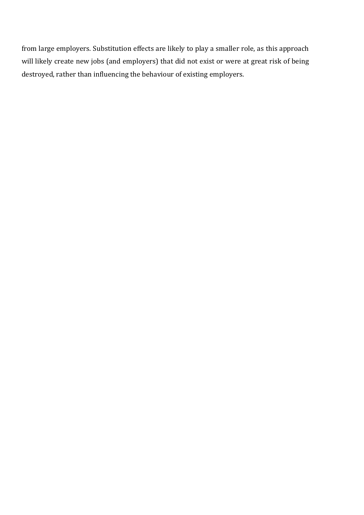from large employers. Substitution effects are likely to play a smaller role, as this approach will likely create new jobs (and employers) that did not exist or were at great risk of being destroyed, rather than influencing the behaviour of existing employers.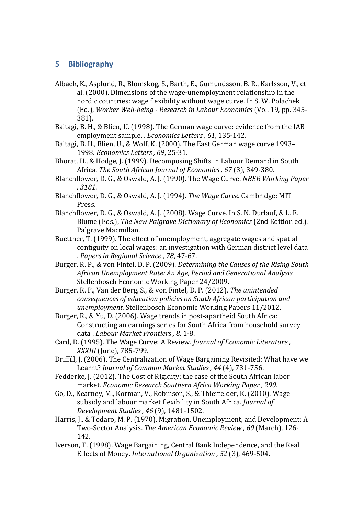# **5 Bibliography**

- Albaek, K., Asplund, R., Blomskog, S., Barth, E., Gumundsson, B. R., Karlsson, V., et al. (2000). Dimensions of the wage-unemployment relationship in the nordic countries: wage flexibility without wage curve. In S. W. Polachek (Ed.), *Worker Well-being - Research in Labour Economics* (Vol. 19, pp. 345- 381).
- Baltagi, B. H., & Blien, U. (1998). The German wage curve: evidence from the IAB employment sample. . *Economics Letters , 61*, 135-142.
- Baltagi, B. H., Blien, U., & Wolf, K. (2000). The East German wage curve 1993– 1998. *Economics Letters , 69*, 25-31.
- Bhorat, H., & Hodge, J. (1999). Decomposing Shifts in Labour Demand in South Africa. *The South African Journal of Economics , 67* (3), 349-380.
- Blanchflower, D. G., & Oswald, A. J. (1990). The Wage Curve. *NBER Working Paper , 3181*.
- Blanchflower, D. G., & Oswald, A. J. (1994). *The Wage Curve.* Cambridge: MIT Press.
- Blanchflower, D. G., & Oswald, A. J. (2008). Wage Curve. In S. N. Durlauf, & L. E. Blume (Eds.), *The New Palgrave Dictionary of Economics* (2nd Edition ed.). Palgrave Macmillan.
- Buettner, T. (1999). The effect of unemployment, aggregate wages and spatial contiguity on local wages: an investigation with German district level data . *Papers in Regional Science , 78*, 47-67.
- Burger, R. P., & von Fintel, D. P. (2009). *Determining the Causes of the Rising South African Unemployment Rate: An Age, Period and Generational Analysis.* Stellenbosch Economic Working Paper 24/2009.
- Burger, R. P., Van der Berg, S., & von Fintel, D. P. (2012). *The unintended consequences of education policies on South African participation and unemployment.* Stellenbosch Economic Working Papers 11/2012.
- Burger, R., & Yu, D. (2006). Wage trends in post-apartheid South Africa: Constructing an earnings series for South Africa from household survey data . *Labour Market Frontiers , 8*, 1-8.
- Card, D. (1995). The Wage Curve: A Review. *Journal of Economic Literature , XXXIII* (June), 785-799.
- Driffill, J. (2006). The Centralization of Wage Bargaining Revisited: What have we Learnt? *Journal of Common Market Studies , 44* (4), 731-756.
- Fedderke, J. (2012). The Cost of Rigidity: the case of the South African labor market. *Economic Research Southern Africa Working Paper , 290*.
- Go, D., Kearney, M., Korman, V., Robinson, S., & Thierfelder, K. (2010). Wage subsidy and labour market flexibility in South Africa. *Journal of Development Studies , 46* (9), 1481-1502.
- Harris, J., & Todaro, M. P. (1970). Migration, Unemployment, and Development: A Two-Sector Analysis. *The American Economic Review , 60* (March), 126- 142.
- Iverson, T. (1998). Wage Bargaining, Central Bank Independence, and the Real Effects of Money. *International Organization , 52* (3), 469-504.